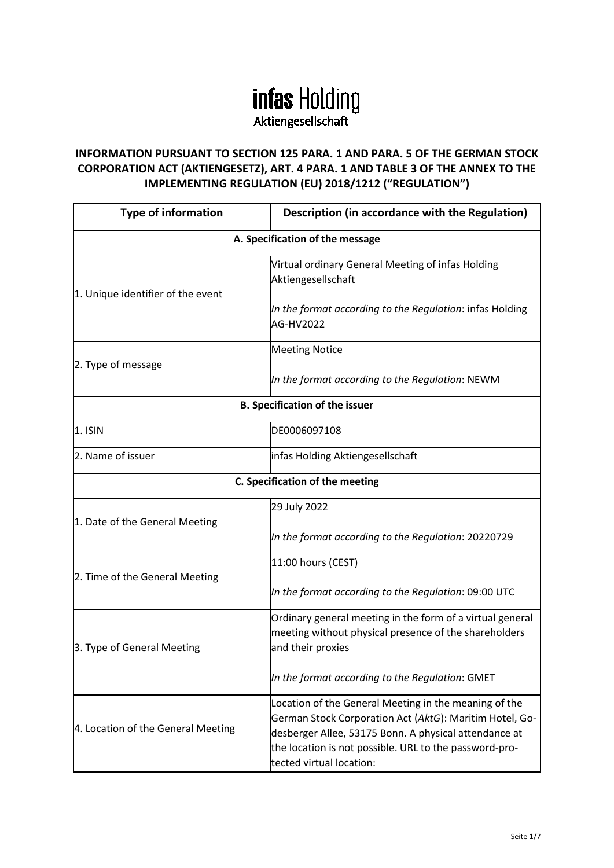## **infas Holding** Aktiengesellschaft

## **INFORMATION PURSUANT TO SECTION 125 PARA. 1 AND PARA. 5 OF THE GERMAN STOCK CORPORATION ACT (AKTIENGESETZ), ART. 4 PARA. 1 AND TABLE 3 OF THE ANNEX TO THE IMPLEMENTING REGULATION (EU) 2018/1212 ("REGULATION")**

| <b>Type of information</b>            | Description (in accordance with the Regulation)                                                                                                                                                                                                                 |  |
|---------------------------------------|-----------------------------------------------------------------------------------------------------------------------------------------------------------------------------------------------------------------------------------------------------------------|--|
| A. Specification of the message       |                                                                                                                                                                                                                                                                 |  |
| 1. Unique identifier of the event     | Virtual ordinary General Meeting of infas Holding<br>Aktiengesellschaft                                                                                                                                                                                         |  |
|                                       | In the format according to the Regulation: infas Holding<br>AG-HV2022                                                                                                                                                                                           |  |
|                                       | <b>Meeting Notice</b>                                                                                                                                                                                                                                           |  |
| 2. Type of message                    | In the format according to the Regulation: NEWM                                                                                                                                                                                                                 |  |
| <b>B. Specification of the issuer</b> |                                                                                                                                                                                                                                                                 |  |
| $1.$ ISIN                             | DE0006097108                                                                                                                                                                                                                                                    |  |
| 2. Name of issuer                     | infas Holding Aktiengesellschaft                                                                                                                                                                                                                                |  |
| C. Specification of the meeting       |                                                                                                                                                                                                                                                                 |  |
| 1. Date of the General Meeting        | 29 July 2022                                                                                                                                                                                                                                                    |  |
|                                       | In the format according to the Regulation: 20220729                                                                                                                                                                                                             |  |
| 2. Time of the General Meeting        | 11:00 hours (CEST)                                                                                                                                                                                                                                              |  |
|                                       | In the format according to the Regulation: 09:00 UTC                                                                                                                                                                                                            |  |
| 3. Type of General Meeting            | Ordinary general meeting in the form of a virtual general<br>meeting without physical presence of the shareholders<br>and their proxies                                                                                                                         |  |
|                                       | In the format according to the Regulation: GMET                                                                                                                                                                                                                 |  |
| 4. Location of the General Meeting    | Location of the General Meeting in the meaning of the<br>German Stock Corporation Act (AktG): Maritim Hotel, Go-<br>desberger Allee, 53175 Bonn. A physical attendance at<br>the location is not possible. URL to the password-pro-<br>tected virtual location: |  |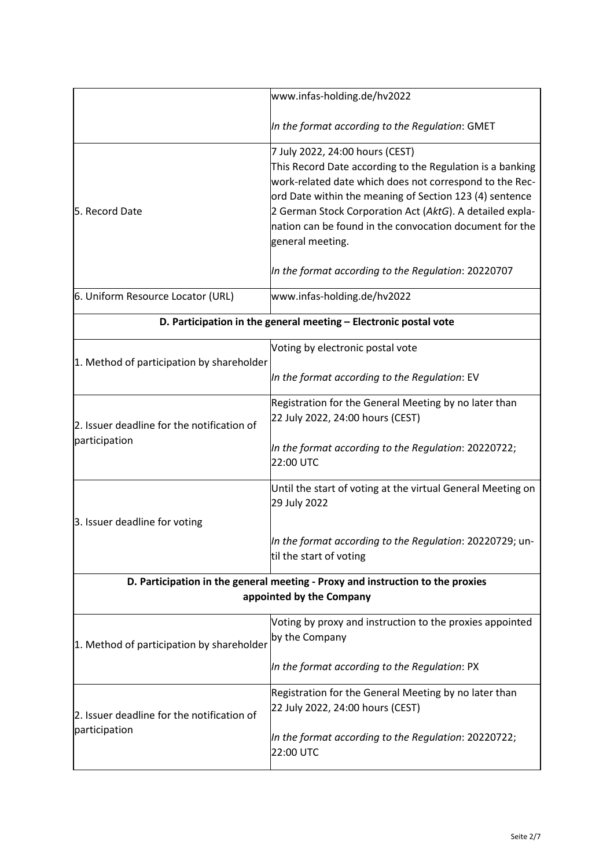|                                                                                                            | www.infas-holding.de/hv2022                                                                                                                                                                                                                                                                                                                                   |
|------------------------------------------------------------------------------------------------------------|---------------------------------------------------------------------------------------------------------------------------------------------------------------------------------------------------------------------------------------------------------------------------------------------------------------------------------------------------------------|
|                                                                                                            | In the format according to the Regulation: GMET                                                                                                                                                                                                                                                                                                               |
| 5. Record Date                                                                                             | 7 July 2022, 24:00 hours (CEST)<br>This Record Date according to the Regulation is a banking<br>work-related date which does not correspond to the Rec-<br>ord Date within the meaning of Section 123 (4) sentence<br>2 German Stock Corporation Act (AktG). A detailed expla-<br>nation can be found in the convocation document for the<br>general meeting. |
|                                                                                                            | In the format according to the Regulation: 20220707                                                                                                                                                                                                                                                                                                           |
| 6. Uniform Resource Locator (URL)                                                                          | www.infas-holding.de/hv2022                                                                                                                                                                                                                                                                                                                                   |
| D. Participation in the general meeting - Electronic postal vote                                           |                                                                                                                                                                                                                                                                                                                                                               |
| 1. Method of participation by shareholder                                                                  | Voting by electronic postal vote<br>In the format according to the Regulation: EV                                                                                                                                                                                                                                                                             |
| 2. Issuer deadline for the notification of<br>participation                                                | Registration for the General Meeting by no later than<br>22 July 2022, 24:00 hours (CEST)                                                                                                                                                                                                                                                                     |
|                                                                                                            | In the format according to the Regulation: 20220722;<br>22:00 UTC                                                                                                                                                                                                                                                                                             |
|                                                                                                            | Until the start of voting at the virtual General Meeting on<br>29 July 2022                                                                                                                                                                                                                                                                                   |
| 3. Issuer deadline for voting                                                                              | In the format according to the Regulation: 20220729; un-<br>til the start of voting                                                                                                                                                                                                                                                                           |
| D. Participation in the general meeting - Proxy and instruction to the proxies<br>appointed by the Company |                                                                                                                                                                                                                                                                                                                                                               |
| 1. Method of participation by shareholder                                                                  | Voting by proxy and instruction to the proxies appointed<br>by the Company                                                                                                                                                                                                                                                                                    |
|                                                                                                            | In the format according to the Regulation: PX                                                                                                                                                                                                                                                                                                                 |
| 2. Issuer deadline for the notification of<br>participation                                                | Registration for the General Meeting by no later than<br>22 July 2022, 24:00 hours (CEST)                                                                                                                                                                                                                                                                     |
|                                                                                                            | In the format according to the Regulation: 20220722;<br>22:00 UTC                                                                                                                                                                                                                                                                                             |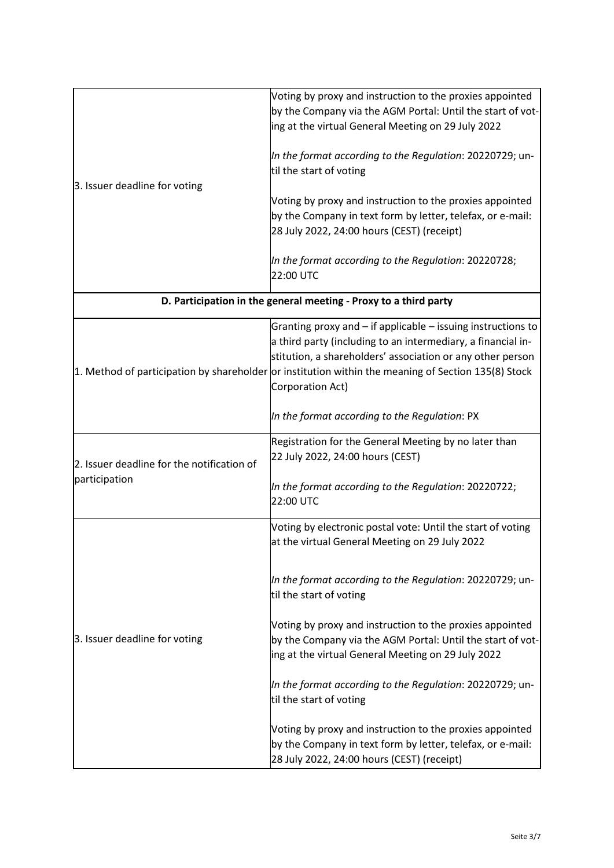| 3. Issuer deadline for voting                               | Voting by proxy and instruction to the proxies appointed<br>by the Company via the AGM Portal: Until the start of vot-<br>ing at the virtual General Meeting on 29 July 2022                                                                                                                                          |
|-------------------------------------------------------------|-----------------------------------------------------------------------------------------------------------------------------------------------------------------------------------------------------------------------------------------------------------------------------------------------------------------------|
|                                                             | In the format according to the Regulation: 20220729; un-<br>til the start of voting                                                                                                                                                                                                                                   |
|                                                             | Voting by proxy and instruction to the proxies appointed<br>by the Company in text form by letter, telefax, or e-mail:<br>28 July 2022, 24:00 hours (CEST) (receipt)                                                                                                                                                  |
|                                                             | In the format according to the Regulation: 20220728;<br>22:00 UTC                                                                                                                                                                                                                                                     |
|                                                             | D. Participation in the general meeting - Proxy to a third party                                                                                                                                                                                                                                                      |
|                                                             | Granting proxy and – if applicable – issuing instructions to<br>a third party (including to an intermediary, a financial in-<br>stitution, a shareholders' association or any other person<br>1. Method of participation by shareholder or institution within the meaning of Section 135(8) Stock<br>Corporation Act) |
|                                                             | In the format according to the Regulation: PX                                                                                                                                                                                                                                                                         |
| 2. Issuer deadline for the notification of<br>participation | Registration for the General Meeting by no later than<br>22 July 2022, 24:00 hours (CEST)                                                                                                                                                                                                                             |
|                                                             | In the format according to the Regulation: 20220722;<br>22:00 UTC                                                                                                                                                                                                                                                     |
| 3. Issuer deadline for voting                               | Voting by electronic postal vote: Until the start of voting<br>at the virtual General Meeting on 29 July 2022                                                                                                                                                                                                         |
|                                                             | In the format according to the Regulation: 20220729; un-<br>til the start of voting                                                                                                                                                                                                                                   |
|                                                             | Voting by proxy and instruction to the proxies appointed<br>by the Company via the AGM Portal: Until the start of vot-<br>ing at the virtual General Meeting on 29 July 2022                                                                                                                                          |
|                                                             | In the format according to the Regulation: 20220729; un-<br>til the start of voting                                                                                                                                                                                                                                   |
|                                                             | Voting by proxy and instruction to the proxies appointed<br>by the Company in text form by letter, telefax, or e-mail:<br>28 July 2022, 24:00 hours (CEST) (receipt)                                                                                                                                                  |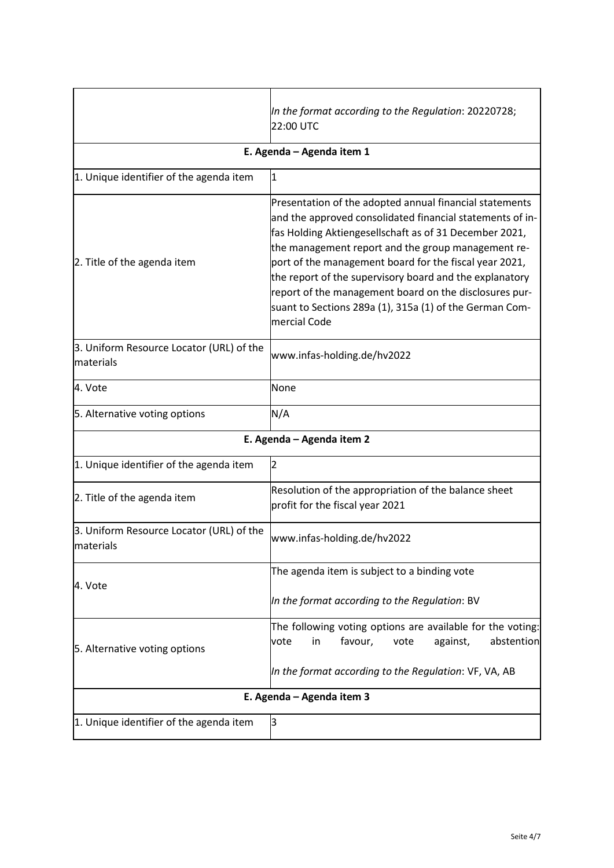|                                                        | In the format according to the Regulation: 20220728;<br>22:00 UTC                                                                                                                                                                                                                                                                                                                                                                                                                              |  |
|--------------------------------------------------------|------------------------------------------------------------------------------------------------------------------------------------------------------------------------------------------------------------------------------------------------------------------------------------------------------------------------------------------------------------------------------------------------------------------------------------------------------------------------------------------------|--|
| E. Agenda - Agenda item 1                              |                                                                                                                                                                                                                                                                                                                                                                                                                                                                                                |  |
| 1. Unique identifier of the agenda item                | $\mathbf{1}$                                                                                                                                                                                                                                                                                                                                                                                                                                                                                   |  |
| 2. Title of the agenda item                            | Presentation of the adopted annual financial statements<br>and the approved consolidated financial statements of in-<br>fas Holding Aktiengesellschaft as of 31 December 2021,<br>the management report and the group management re-<br>port of the management board for the fiscal year 2021,<br>the report of the supervisory board and the explanatory<br>report of the management board on the disclosures pur-<br>suant to Sections 289a (1), 315a (1) of the German Com-<br>mercial Code |  |
| 3. Uniform Resource Locator (URL) of the<br>materials  | www.infas-holding.de/hv2022                                                                                                                                                                                                                                                                                                                                                                                                                                                                    |  |
| 4. Vote                                                | None                                                                                                                                                                                                                                                                                                                                                                                                                                                                                           |  |
| 5. Alternative voting options                          | N/A                                                                                                                                                                                                                                                                                                                                                                                                                                                                                            |  |
| E. Agenda - Agenda item 2                              |                                                                                                                                                                                                                                                                                                                                                                                                                                                                                                |  |
| 1. Unique identifier of the agenda item                | $\overline{2}$                                                                                                                                                                                                                                                                                                                                                                                                                                                                                 |  |
| 2. Title of the agenda item                            | Resolution of the appropriation of the balance sheet<br>profit for the fiscal year 2021                                                                                                                                                                                                                                                                                                                                                                                                        |  |
| 3. Uniform Resource Locator (URL) of the<br>lmaterials | www.infas-holding.de/hv2022                                                                                                                                                                                                                                                                                                                                                                                                                                                                    |  |
| 4. Vote                                                | The agenda item is subject to a binding vote                                                                                                                                                                                                                                                                                                                                                                                                                                                   |  |
|                                                        | In the format according to the Regulation: BV                                                                                                                                                                                                                                                                                                                                                                                                                                                  |  |
| 5. Alternative voting options                          | The following voting options are available for the voting:<br>favour,<br>abstention<br>vote<br>in<br>vote<br>against,<br>In the format according to the Regulation: VF, VA, AB                                                                                                                                                                                                                                                                                                                 |  |
| E. Agenda - Agenda item 3                              |                                                                                                                                                                                                                                                                                                                                                                                                                                                                                                |  |
| 1. Unique identifier of the agenda item                | З                                                                                                                                                                                                                                                                                                                                                                                                                                                                                              |  |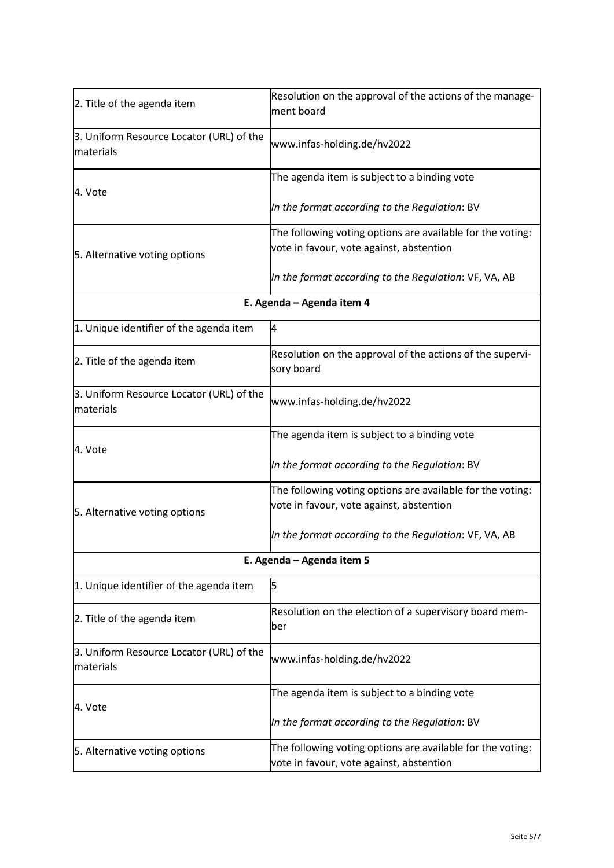| 2. Title of the agenda item                           | Resolution on the approval of the actions of the manage-   |  |
|-------------------------------------------------------|------------------------------------------------------------|--|
|                                                       | ment board                                                 |  |
| 3. Uniform Resource Locator (URL) of the<br>materials | www.infas-holding.de/hv2022                                |  |
| 4. Vote                                               | The agenda item is subject to a binding vote               |  |
|                                                       | In the format according to the Regulation: BV              |  |
|                                                       | The following voting options are available for the voting: |  |
| 5. Alternative voting options                         | vote in favour, vote against, abstention                   |  |
|                                                       | In the format according to the Regulation: VF, VA, AB      |  |
| E. Agenda - Agenda item 4                             |                                                            |  |
| 1. Unique identifier of the agenda item               | 4                                                          |  |
|                                                       | Resolution on the approval of the actions of the supervi-  |  |
| 2. Title of the agenda item                           | sory board                                                 |  |
| 3. Uniform Resource Locator (URL) of the<br>materials | www.infas-holding.de/hv2022                                |  |
| 4. Vote                                               | The agenda item is subject to a binding vote               |  |
|                                                       | In the format according to the Regulation: BV              |  |
|                                                       | The following voting options are available for the voting: |  |
| 5. Alternative voting options                         | vote in favour, vote against, abstention                   |  |
|                                                       | In the format according to the Regulation: VF, VA, AB      |  |
|                                                       | E. Agenda - Agenda item 5                                  |  |
| 1. Unique identifier of the agenda item               | 5                                                          |  |
| 2. Title of the agenda item                           | Resolution on the election of a supervisory board mem-     |  |
|                                                       | ber                                                        |  |
| 3. Uniform Resource Locator (URL) of the<br>materials | www.infas-holding.de/hv2022                                |  |
| 4. Vote                                               | The agenda item is subject to a binding vote               |  |
|                                                       | In the format according to the Regulation: BV              |  |
| 5. Alternative voting options                         | The following voting options are available for the voting: |  |
|                                                       | vote in favour, vote against, abstention                   |  |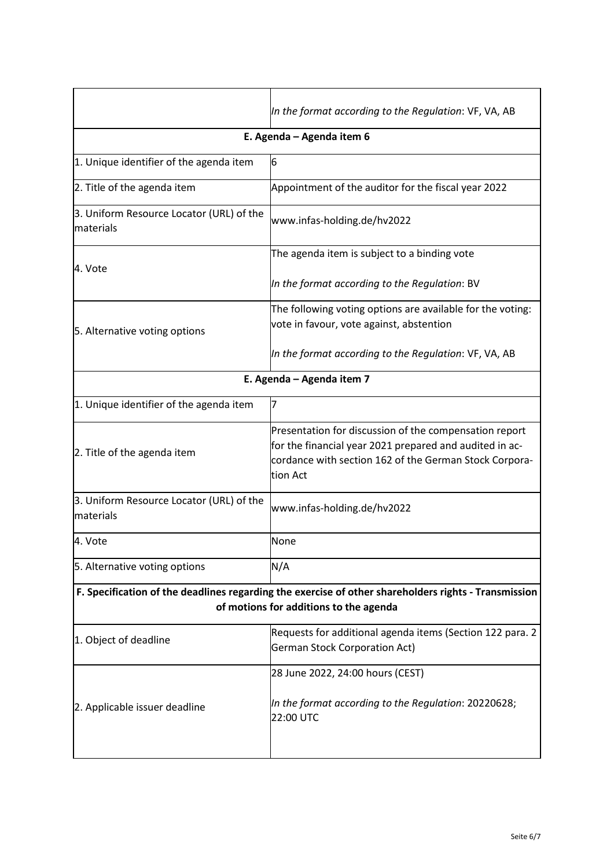|                                                                                                                                                | In the format according to the Regulation: VF, VA, AB                                                                                                                                   |  |
|------------------------------------------------------------------------------------------------------------------------------------------------|-----------------------------------------------------------------------------------------------------------------------------------------------------------------------------------------|--|
| E. Agenda - Agenda item 6                                                                                                                      |                                                                                                                                                                                         |  |
| 1. Unique identifier of the agenda item                                                                                                        | 6                                                                                                                                                                                       |  |
| 2. Title of the agenda item                                                                                                                    | Appointment of the auditor for the fiscal year 2022                                                                                                                                     |  |
| 3. Uniform Resource Locator (URL) of the<br>materials                                                                                          | www.infas-holding.de/hv2022                                                                                                                                                             |  |
| 4. Vote                                                                                                                                        | The agenda item is subject to a binding vote                                                                                                                                            |  |
|                                                                                                                                                | In the format according to the Regulation: BV                                                                                                                                           |  |
|                                                                                                                                                | The following voting options are available for the voting:                                                                                                                              |  |
| 5. Alternative voting options                                                                                                                  | vote in favour, vote against, abstention                                                                                                                                                |  |
|                                                                                                                                                | In the format according to the Regulation: VF, VA, AB                                                                                                                                   |  |
| E. Agenda - Agenda item 7                                                                                                                      |                                                                                                                                                                                         |  |
| 1. Unique identifier of the agenda item                                                                                                        | 7                                                                                                                                                                                       |  |
| 2. Title of the agenda item                                                                                                                    | Presentation for discussion of the compensation report<br>for the financial year 2021 prepared and audited in ac-<br>cordance with section 162 of the German Stock Corpora-<br>tion Act |  |
| 3. Uniform Resource Locator (URL) of the<br>materials                                                                                          | www.infas-holding.de/hv2022                                                                                                                                                             |  |
| 4. Vote                                                                                                                                        | None                                                                                                                                                                                    |  |
| 5. Alternative voting options                                                                                                                  | N/A                                                                                                                                                                                     |  |
| F. Specification of the deadlines regarding the exercise of other shareholders rights - Transmission<br>of motions for additions to the agenda |                                                                                                                                                                                         |  |
| 1. Object of deadline                                                                                                                          | Requests for additional agenda items (Section 122 para. 2<br><b>German Stock Corporation Act)</b>                                                                                       |  |
| 2. Applicable issuer deadline                                                                                                                  | 28 June 2022, 24:00 hours (CEST)                                                                                                                                                        |  |
|                                                                                                                                                | In the format according to the Regulation: 20220628;<br>22:00 UTC                                                                                                                       |  |
|                                                                                                                                                |                                                                                                                                                                                         |  |